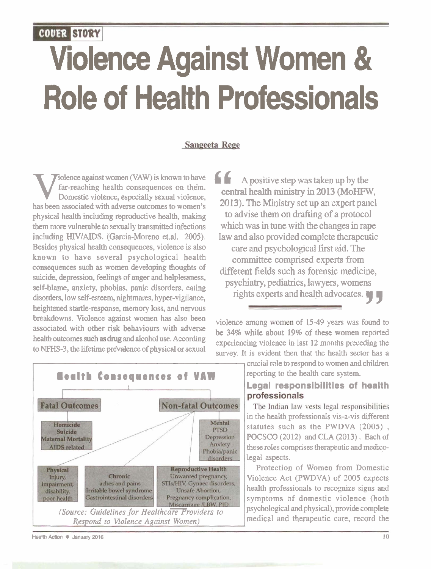# COUER STORY Violence Against Women & Role of Health Professionals

#### Sangeeta Rege

Far-reaching health consequences on them.<br>
Domestic violence, especially sexual violence,<br>
has been associated with adverse outcomes to women's **2013**). The Ministry set up an expert panel **Example 3**<br>has been associated with adverse outcomes to women's and in a set up an expert panel<br>physical health including reproductive health making to advise them on drafting of a protocol physical health including reproductive health, making **to advise them on drafting of a protocol**  them more vulnerable to sexually transmitted infections including HIV/AIDS. (Garcia-Moreno et.al. 2005). **law and also provided complete therapeutic Besides physical health consequences, violence is also care and nsychological first aid. The** known to have several psychological health<br>
committee comprised experts from<br>
consequences such as women developing thoughts of consequences such as women developing thoughts of **different fields such as forensic medicine,** suicide, depression, feelings of anger and helplessness, self-blame, anxiety, phobias, panic disorders, eating disorders, low self-esteem, nightmares, hyper-vigilance, rights experts and health advocates. heightened startle-response, memory loss, and nervous breakdowns. Violence against women has also been violence among women of 15-49 years was found to associated with other risk behaviours with adverse associated with other risk behaviours with adverse **be** 34% while about 19% of these women reported health outcomes such as drug and alcohol use. According healthoutcomes such as drug and alcohol use. According experiencing violence in last 12 months preceding the to NFHS-3, the lifetime prevalence of physical or sexual

Folence against women (VAW) is known to have **6 6 A** *A* positive step was taken up by the far-reaching health consequences on them. care and psychological first aid. The

survey. It is evident then that the health sector has a



reporting to the health care system. **Legal responsibilities of health** professionals

crucial role to respond to women and children

The Indian law vests legal responsibilities in the health professionals vis-a-vis different statutes such as the PWDVA (2005) , **POCSCO** (2012) and CLA (2013) . Each of these roles comprises therapeutic and medicolegal aspects.

Protection of Women from Domestic Violence Act (PWDVA) of 2005 expects health professionals to recognize signs and symptoms of domestic violence (both

**Health Action ● January 2016 10**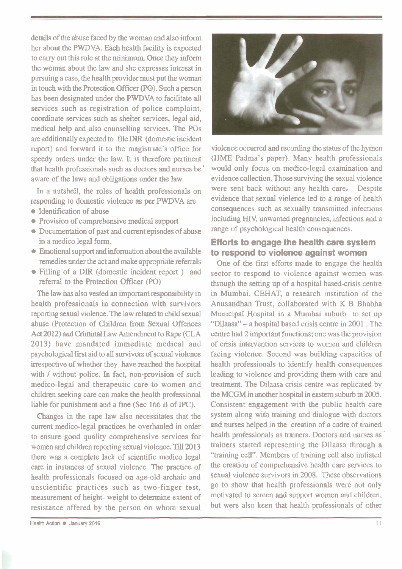details of the abuse faced by the woman and also inform her about the PWDVA. Each health facility is expected to cany out this role at the minimum. Once they inform the woman about the law and she expresses interest in pursuing a case, the health provider must put the woman in touch with the Protection Officer (PO). Such a person has been designated under the **PWDVA** to facilitate all services such as registration of police complaint, coordinate services such as shelter services, legal aid, medical help and also counselling services. The POs are additionally expected to file DIR (domestic incident report) and forward it to the magistrate's office for speedy orders under the law. It is therefore pertinent that health professionals such as doctors and nurses be' aware of the laws and obligations under the law.

In a nutshell, the roles of health professionals on responding to domestic violence as per **PWDVA** are

- Identification of abuse
- Provision of comprehensive medical support
- Documentation of past and current episodes of abuse in a medico legal form.
- Emotional support and information about the available remedies under the act and make appropriate referrals
- Filling of a DIR (domestic incident report ) and referral to the Protection Officer (PO)

The law has also vested an important responsibility in health professionals in connection with survivors reporting sexual violence. The law related to child sexual abuse (Protection of Children from Sexual Offences Act 2012) and Criminal Law Amendment to Rape (CLA 2013) have mandated immediate medical and psychological first aid to all survivors of sexual violence irrespective of whether they have reached the hospital with / without police. In fact, non-provision of such medico-legal and therapeutic care to women and children seeking care can make the health professional liable for punishment and a fine (Sec 166 B of IPC).

Changes in the rape law also necessitates that the current medico-legal practices be overhauled in order to ensure good quality comprehensive services for women and children reporting sexual violence. Till 2013 there was a complete lack of scientific medico legal care in instances of sexual violence. The practice of health professionals focused on age-old archaic and unscientific practices such as two-finger test, measurement of height- weight to determine extent of resistance offered by the person on whom sexual



violence occurred and recording the status of the hymen (IJME Padma's paper). Many health professionals would only focus on medico-legal examination and evidence collection. Those surviving the sexual violence were sent back without any health care, Despite evidence that sexual violence led to a range of health consequences such as sexually transmitted infections including *HIV,* unwanted pregnancies, infections and a range of psychological health consequences.

### **Efforts to engage the health care system to respond to violence against women**

One of the first efforts made to engage the health sector to respond to violence against women was through the setting up of a hospitai based-crisis centre in Mumbai. CEHAT, a research institution of the Anusandhan Trust, collaborated with K B Bhabha Municipal Hospital in a Mumbai suburb to set up "Diaasa" - a hospital based crisis centre in 2001 . The centre had 2 important functions: one was the provision of crisis intervention services to women and children facing violence. Second was building capacities of health professionals to identify health consequences leading to violence and providing them with care and treatment. The Dilaasa crisis centre was replicated by the MCGM in another hospital in eastern suburb in 2005. Consistent engagement with the public health care system along with training and dialogue with doctors and nurses helped in the creation of a cadre of trained health professionals as trainers. Doctors and nurses as ' trainers started representing the Dilaasa through a "training cell". Members of training cell also initiated the creation of comprehensive health care services to sexual violence survivors in 2008. These observations go to show that health professionals were not only motivated to screen and support women and children, but were also keen that health professionals of other